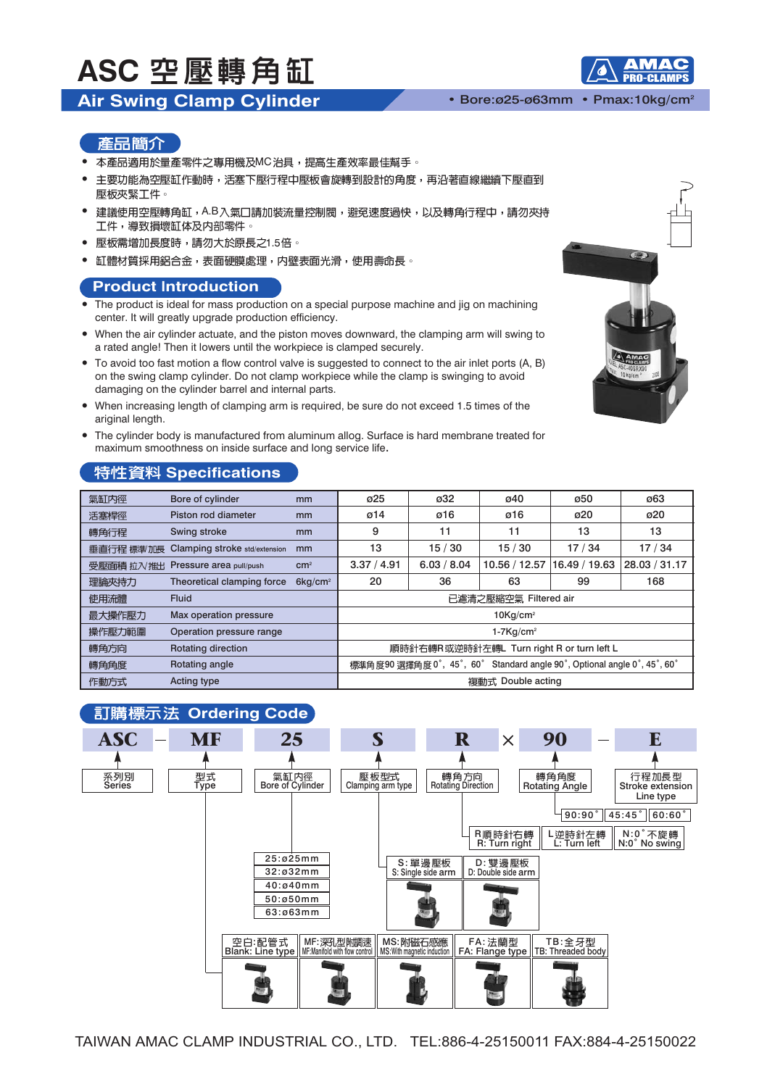## **ASC 空壓轉角缸**

## **Air Swing Clamp Cylinder** • Bore:ø25-ø63mm • Pmax:10kg/cm2

#### 產品簡介

- 本產品適用於量產零件之專用機及MC治具,提高生產效率最佳幫手。
- 主要功能為空壓缸作動時,活塞下壓行程中壓板會旋轉到設計的角度,再沿著直線繼續下壓直到 • 壓板夾緊工件。
- 建議使用空壓轉角缸,A.B入氣口請加裝流量控制閥,避免速度過快,以及轉角行程中,請勿夾持 工件,導致損壞缸体及内部零件。
- 壓板需增加長度時,請勿大於原長之1.5倍。
- 缸體材質採用鋁合金,表面硬膜處理,内壁表面光滑,使用壽命長。  $\bullet$

### **Product Introduction**

- The product is ideal for mass production on a special purpose machine and ijq on machining center. It will greatly upgrade production efficiency.
- When the air cylinder actuate, and the piston moves downward, the clamping arm will swing to a rated angle! Then it lowers until the workpiece is clamped securely.
- To avoid too fast motion a flow control valve is suggested to connect to the air inlet ports (A, B) on the swing clamp cylinder. Do not clamp workpiece while the clamp is swinging to avoid damaging on the cylinder barrel and internal parts.
- When increasing length of clamping arm is required, be sure do not exceed 1.5 times of the ariginal length.
- The cylinder body is manufactured from aluminum allog. Surface is hard membrane treated for maximum smoothness on inside surface and long service life.

## **特性資料 Specifications**

| 氣缸内徑      | Bore of cylinder              | mm                  | ø25                                                                     | ø32         | ø40           | ø50           | Ø63           |
|-----------|-------------------------------|---------------------|-------------------------------------------------------------------------|-------------|---------------|---------------|---------------|
| 活塞桿徑      | Piston rod diameter           | mm                  | $\varnothing$ 14                                                        | ø16         | ø16           | ø20           | ø20           |
| 轉角行程      | Swing stroke                  | mm                  | 9                                                                       | 11          | 11            | 13            | 13            |
| 垂直行程 標準加長 | Clamping stroke std/extension | mm                  | 13                                                                      | 15/30       | 15/30         | 17/34         | 17/34         |
| 受壓面積 拉入推出 | Pressure area pull/push       | cm <sup>2</sup>     | 3.37 / 4.91                                                             | 6.03 / 8.04 | 10.56 / 12.57 | 16.49 / 19.63 | 28.03 / 31.17 |
| 理論夾持力     | Theoretical clamping force    | 6kg/cm <sup>2</sup> | 20                                                                      | 36          | 63            | 99            | 168           |
| 使用流體      | <b>Fluid</b>                  |                     | 已濾清之壓縮空氣 Filtered air                                                   |             |               |               |               |
| 最大操作壓力    | Max operation pressure        |                     | $10Kq/cm^2$                                                             |             |               |               |               |
| 操作壓力範圍    | Operation pressure range      |                     | $1-7$ Kg/cm <sup>2</sup>                                                |             |               |               |               |
| 轉角方向      | Rotating direction            |                     | 順時針右轉R或逆時針左轉L Turn right R or turn left L                               |             |               |               |               |
| 轉角角度      | Rotating angle                |                     | 標準角度90 選擇角度0°, 45°, 60° Standard angle 90°, Optional angle 0°, 45°, 60° |             |               |               |               |
| 作動方式      | <b>Acting type</b>            |                     | 複動式 Double acting                                                       |             |               |               |               |





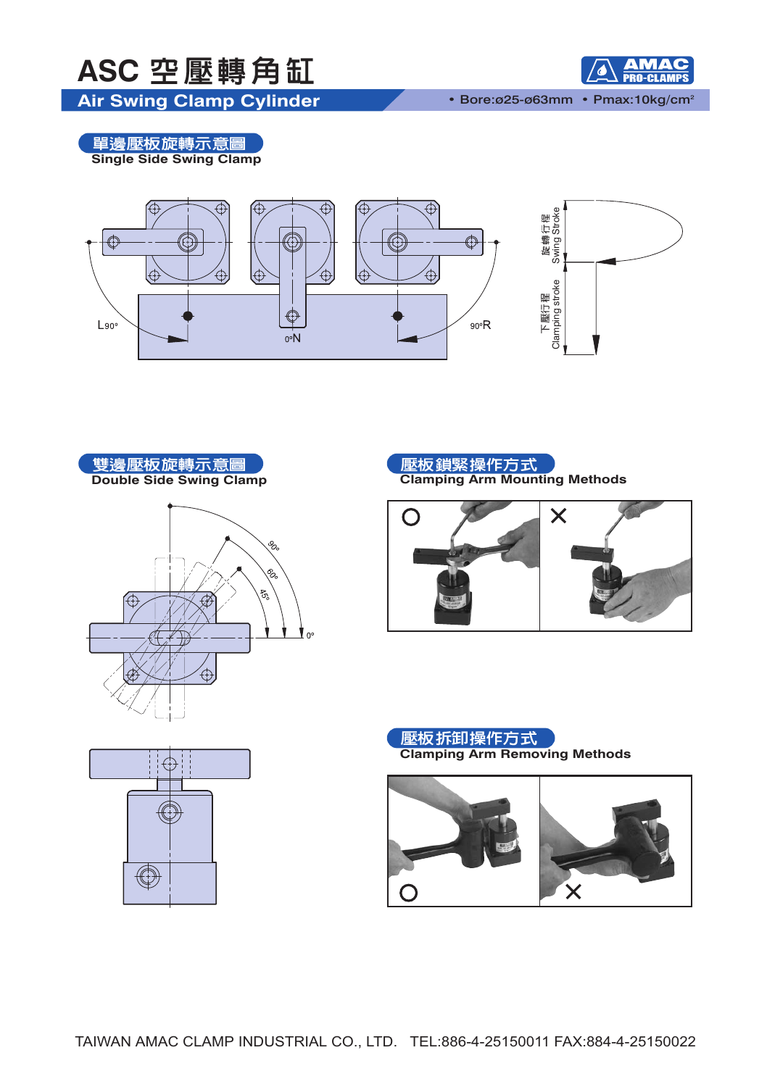



• Bore:ø25-ø63mm • Pmax:10kg/cm2

**Air Swing Clamp Cylinder**

**・單邊壓板旋轉示意圖**<br>Single Side Swing Clamp













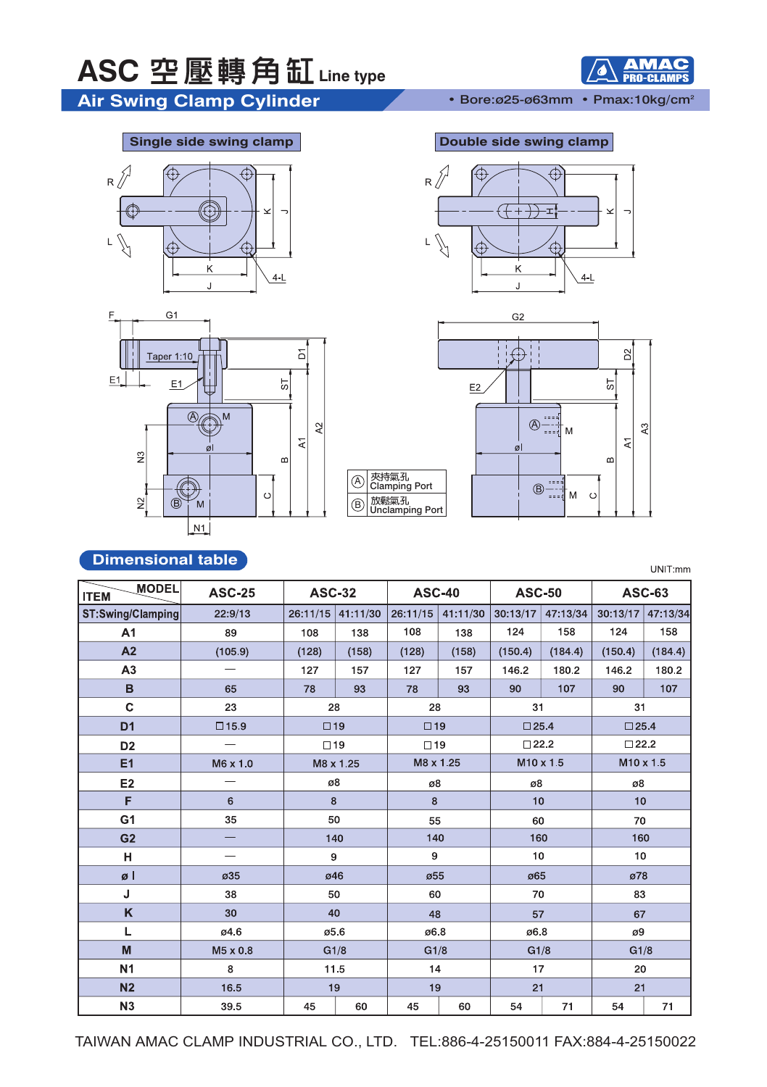## ASC 空壓轉角缸 Line type

Air Swing Clamp Cylinder • Bore:025-063mm • Pmax:10kg/cm<sup>2</sup>







#### **Single side swing clamp Double side swing clamp**





## **Dimensional table**

UNIT:mm

ЛАС

| <b>MODEL</b><br><b>ITEM</b> | <b>ASC-25</b>                     | <b>ASC-32</b><br><b>ASC-40</b> |                   |                             | <b>ASC-50</b>       |                | <b>ASC-63</b>  |                |          |  |
|-----------------------------|-----------------------------------|--------------------------------|-------------------|-----------------------------|---------------------|----------------|----------------|----------------|----------|--|
| ST:Swing/Clamping           | 22:9/13                           |                                | 26:11/15 41:11/30 |                             | $26:11/15$ 41:11/30 | 30:13/17       | 47:13/34       | 30:13/17       | 47:13/34 |  |
| A1                          | 89                                | 108                            | 138               | 108                         | 138                 | 124            | 158            | 124            | 158      |  |
| A2                          | (105.9)                           | (128)                          | (158)             | (128)                       | (158)               | (150.4)        | (184.4)        | (150.4)        | (184.4)  |  |
| A3                          | $\overbrace{\phantom{123221111}}$ | 127                            | 157               | 127                         | 157                 | 146.2          | 180.2          | 146.2          | 180.2    |  |
| B                           | 65                                | 78                             | 93                | 78                          | 93                  | 90             | 107            | 90             | 107      |  |
| $\mathbf C$                 | 23                                | 28                             |                   | 28                          |                     | 31             |                | 31             |          |  |
| D <sub>1</sub>              | $\square$ 15.9                    | $\Box$ 19                      |                   | $\Box$ 19<br>$\square$ 25.4 |                     |                | $\square$ 25.4 |                |          |  |
| D <sub>2</sub>              |                                   | $\Box$ 19                      |                   | $\Box$ 19                   |                     | $\square$ 22.2 |                | $\square$ 22.2 |          |  |
| E1                          | M6 x 1.0                          | M8 x 1.25<br>M8 x 1.25         |                   |                             | M10 x 1.5           |                | M10 x 1.5      |                |          |  |
| E <sub>2</sub>              |                                   | ø8                             |                   | ø8                          |                     | ø8             |                | ø8             |          |  |
| F                           | 6                                 | 8                              |                   | 8                           |                     | 10             |                | 10             |          |  |
| G <sub>1</sub>              | 35                                | 50                             |                   | 55                          |                     | 60             |                | 70             |          |  |
| G <sub>2</sub>              | $\qquad \qquad -$                 |                                | 140               | 140<br>160                  |                     | 160            |                |                |          |  |
| н                           |                                   | 9                              |                   | $\boldsymbol{9}$<br>10      |                     | 10             |                |                |          |  |
| øl                          | ø35                               |                                | ø46               |                             | ø55                 |                | ø65            |                | ø78      |  |
| J                           | 38                                | 50                             |                   | 60                          |                     | 70             |                | 83             |          |  |
| K                           | 30                                | 40                             |                   | 48                          |                     | 57             |                | 67             |          |  |
| Г                           | ø4.6                              | 05.6                           |                   | 06.8                        |                     | 06.8           |                | ø9             |          |  |
| $\mathsf{M}\xspace$         | M5 x 0.8                          | G1/8                           |                   | G1/8                        |                     | G1/8           |                | G1/8           |          |  |
| <b>N1</b>                   | 8                                 | 11.5                           |                   | 14                          |                     | 17             |                | 20             |          |  |
| N <sub>2</sub>              | 16.5                              | 19                             |                   | 19                          |                     | 21             |                | 21             |          |  |
| N3                          | 39.5                              | 45                             | 60                | 45                          | 60                  | 54             | 71             | 54             | 71       |  |

 $\circledA$  $\circledB$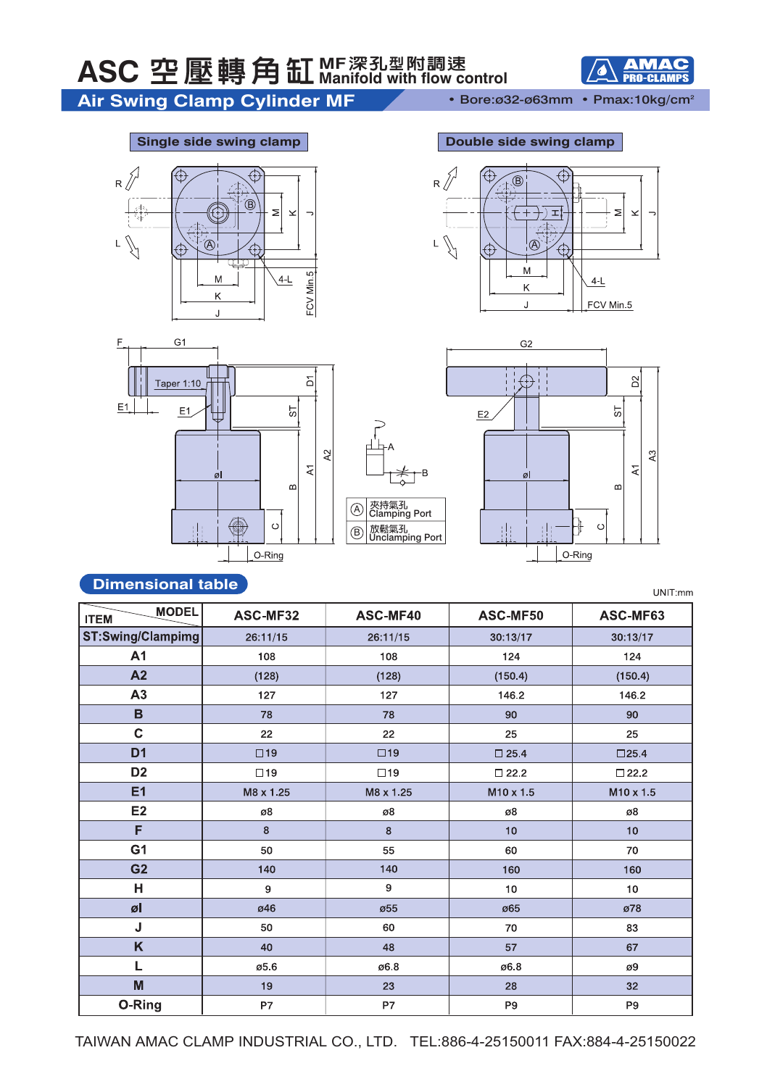

Air Swing Clamp Cylinder MF • Bore:ø32-ø63mm • Pmax:10kg/cm<sup>2</sup>







#### **Single side swing clamp Double side swing clamp**





## **Dimensional table**

UNIT:mm

| <b>MODEL</b><br><b>ITEM</b> | ASC-MF32     | ASC-MF40     | ASC-MF50              | ASC-MF63         |  |
|-----------------------------|--------------|--------------|-----------------------|------------------|--|
| ST:Swing/Clampimg           | 26:11/15     | 26:11/15     | 30:13/17              | 30:13/17         |  |
| A <sub>1</sub>              | 108          | 108          | 124                   | 124              |  |
| A2                          | (128)        | (128)        | (150.4)               | (150.4)          |  |
| A3                          | 127          | 127          | 146.2                 | 146.2            |  |
| $\overline{B}$              | 78           | 78           | 90                    | 90               |  |
| $\mathbf C$                 | 22           | 22           | 25                    | 25               |  |
| D <sub>1</sub>              | $\square$ 19 | $\square$ 19 | $\square$ 25.4        | $\square$ 25.4   |  |
| D <sub>2</sub>              | $\Box$ 19    | $\Box$ 19    | $\square$ 22.2        | $\square$ 22.2   |  |
| E1                          | M8 x 1.25    | M8 x 1.25    | M <sub>10</sub> x 1.5 | $M10 \times 1.5$ |  |
| E2                          | ø8           | ø8           | ø8                    | ø8               |  |
| F                           | 8            | 8            | 10                    | 10               |  |
| G <sub>1</sub>              | 50           | 55           | 60                    | 70               |  |
| G <sub>2</sub>              | 140          | 140          | 160                   | 160              |  |
| Н                           | 9            | 9            | 10                    | 10 <sup>1</sup>  |  |
| øl                          | ø46          | ø55          | ø65                   | ø78              |  |
| J                           | 50           | 60           | 70                    | 83               |  |
| K                           | 40           | 48           | 57                    | 67               |  |
| L                           | ø5.6         | 06.8         | 06.8                  | ø9               |  |
| M                           | 19           | 23           | 28                    | 32               |  |
| O-Ring                      | P7           | P7           | P <sub>9</sub>        | P <sub>9</sub>   |  |

<mark>夾持氣孔</mark><br>Clamping Port 放鬆氣孔<br>Unclamping Port

 $\circled{A}$  $(B)$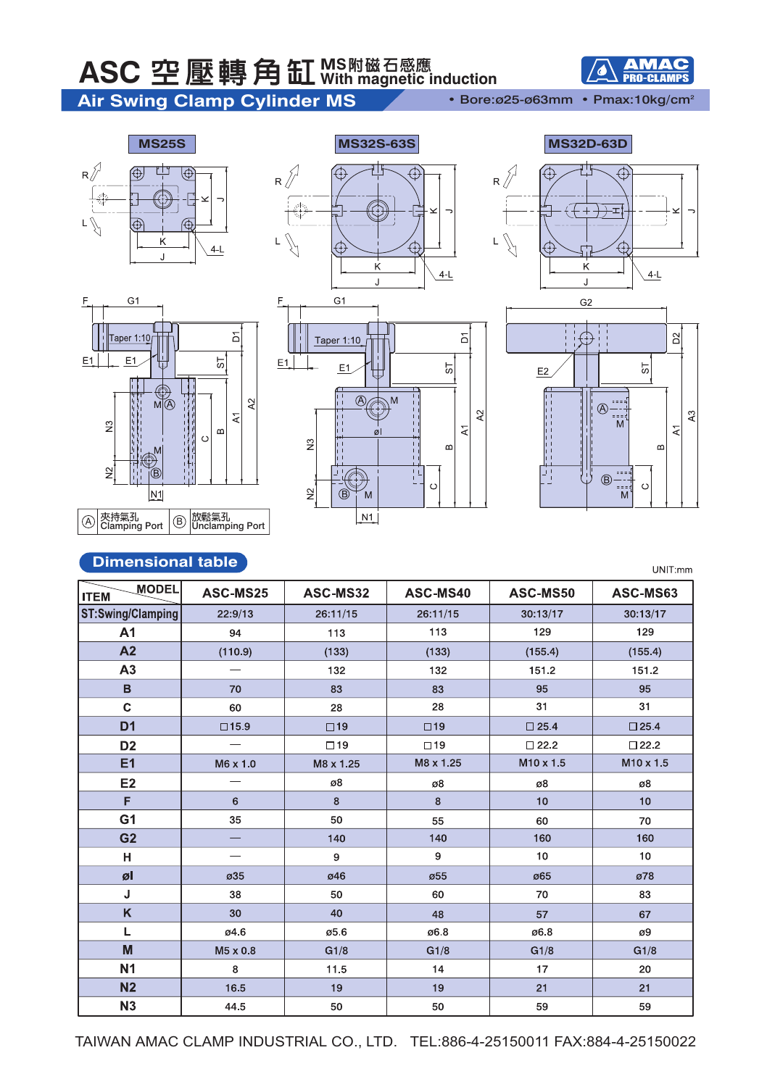## ASC 空壓轉角缸 WS附磁石感應

## Air Swing Clamp Cylinder MS • Bore:025-063mm · Pmax:10kg/cm<sup>2</sup>



 $\bullet$ 

**AMAC** 













### **Dimensional table**

UNIT:mm

| <b>MODEL</b><br><b>ITEM</b> | ASC-MS25 | ASC-MS32  | ASC-MS40     | ASC-MS50              | ASC-MS63       |
|-----------------------------|----------|-----------|--------------|-----------------------|----------------|
| ST:Swing/Clamping           | 22:9/13  | 26:11/15  | 26:11/15     | 30:13/17              | 30:13/17       |
| A <sub>1</sub>              | 94       | 113       | 113          | 129                   | 129            |
| A2                          | (110.9)  | (133)     | (133)        | (155.4)               | (155.4)        |
| A3                          |          | 132       | 132          | 151.2                 | 151.2          |
| B                           | 70       | 83        | 83           | 95                    | 95             |
| $\mathbf{C}$                | 60       | 28        | 28           | 31                    | 31             |
| D <sub>1</sub>              | □15.9    | $\Box$ 19 | $\square$ 19 | $\square$ 25.4        | $\square$ 25.4 |
| D <sub>2</sub>              |          | $\Box$ 19 | $\square$ 19 | $\square$ 22.2        | $\square$ 22.2 |
| E1                          | M6 x 1.0 | M8 x 1.25 | M8 x 1.25    | M <sub>10</sub> x 1.5 | M10 x 1.5      |
| E2                          |          | ø8        | ø8           | ø8                    | ø8             |
| F                           | 6        | 8         | 8            | 10                    | 10             |
| G <sub>1</sub>              | 35       | 50        | 55           | 60                    | 70             |
| G <sub>2</sub>              |          | 140       | 140          | 160                   | 160            |
| H                           |          | 9         | 9            | 10                    | 10             |
| øl                          | ø35      | ø46       | ø55          | ø65                   | ø78            |
| J                           | 38       | 50        | 60           | 70                    | 83             |
| K                           | 30       | 40        | 48           | 57                    | 67             |
| Г                           | ø4.6     | ø5.6      | 06.8         | 06.8                  | ø9             |
| M                           | M5 x 0.8 | G1/8      | G1/8         | G1/8                  | G1/8           |
| <b>N1</b>                   | 8        | 11.5      | 14           | 17                    | 20             |
| N <sub>2</sub>              | 16.5     | 19        | 19           | 21                    | 21             |
| N3                          | 44.5     | 50        | 50           | 59                    | 59             |